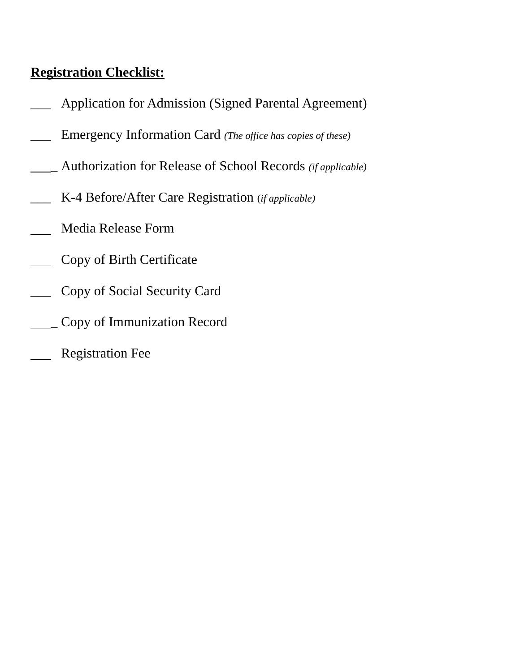# **Registration Checklist:**

- Application for Admission (Signed Parental Agreement)
- \_\_\_ Emergency Information Card *(The office has copies of these)*
- \_ Authorization for Release of School Records *(if applicable)*
- \_\_\_ K-4 Before/After Care Registration (*if applicable)*
- Media Release Form
- Copy of Birth Certificate
- \_\_\_ Copy of Social Security Card
- \_ Copy of Immunization Record
- Registration Fee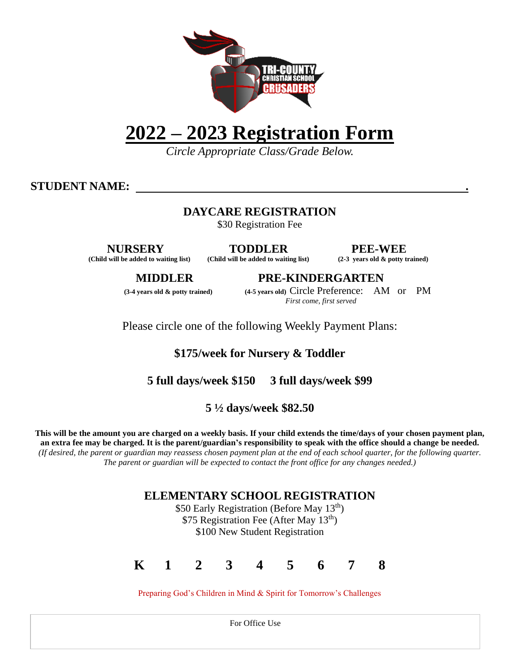

# **2022 – 2023 Registration Form**

*Circle Appropriate Class/Grade Below.*

**STUDENT NAME: .**

### **DAYCARE REGISTRATION**

\$30 Registration Fee

**NURSERY TODDLER PEE-WEE (Child will be added to waiting list) (Child will be added to waiting list) (2-3 years old & potty trained)**

**MIDDLER PRE-KINDERGARTEN (3-4 years old & potty trained) (4-5 years old)** Circle Preference: AM or PM

*First come, first served*

Please circle one of the following Weekly Payment Plans:

# **\$175/week for Nursery & Toddler**

**5 full days/week \$150 3 full days/week \$99**

# **5 ½ days/week \$82.50**

**This will be the amount you are charged on a weekly basis. If your child extends the time/days of your chosen payment plan, an extra fee may be charged. It is the parent/guardian's responsibility to speak with the office should a change be needed.** *(If desired, the parent or guardian may reassess chosen payment plan at the end of each school quarter, for the following quarter. The parent or guardian will be expected to contact the front office for any changes needed.)*

### **ELEMENTARY SCHOOL REGISTRATION**

\$50 Early Registration (Before May 13<sup>th</sup>) \$75 Registration Fee (After May 13<sup>th</sup>) \$100 New Student Registration



Preparing God's Children in Mind & Spirit for Tomorrow's Challenges

For Office Use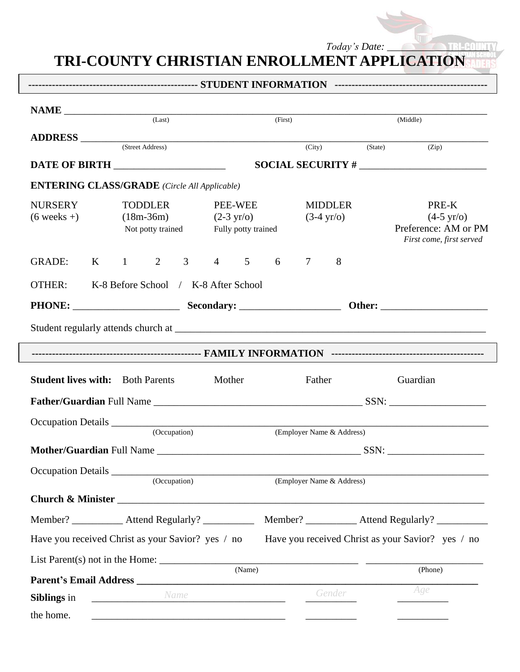*Today's Date: \_\_\_\_\_\_\_\_\_\_\_\_\_\_\_\_\_\_\_\_*

# **TRI-COUNTY CHRISTIAN ENROLLMENT APPLICATION**

|                                                     | (Last)                                             |                                      |                                                        |                           |                                        |         |                                                                                   |  |  |  |  |  |  |  |
|-----------------------------------------------------|----------------------------------------------------|--------------------------------------|--------------------------------------------------------|---------------------------|----------------------------------------|---------|-----------------------------------------------------------------------------------|--|--|--|--|--|--|--|
|                                                     |                                                    |                                      | (First)                                                |                           |                                        |         | (Middle)                                                                          |  |  |  |  |  |  |  |
| $ADDRESS$ (City)                                    |                                                    |                                      |                                                        |                           |                                        | (State) | (Zip)                                                                             |  |  |  |  |  |  |  |
| DATE OF BIRTH                                       |                                                    |                                      |                                                        |                           |                                        |         | $SOCIAL SECURITY # ________$                                                      |  |  |  |  |  |  |  |
| <b>ENTERING CLASS/GRADE</b> (Circle All Applicable) |                                                    |                                      |                                                        |                           |                                        |         |                                                                                   |  |  |  |  |  |  |  |
| <b>NURSERY</b><br>$(6 \text{ weeks} + )$            | <b>TODDLER</b><br>$(18m-36m)$<br>Not potty trained |                                      | PEE-WEE<br>$(2-3 \text{ yr/o})$<br>Fully potty trained |                           | <b>MIDDLER</b><br>$(3-4 \text{ yr}/0)$ |         | PRE-K<br>$(4-5 \text{ yr/o})$<br>Preference: AM or PM<br>First come, first served |  |  |  |  |  |  |  |
| <b>GRADE:</b><br>$\bf{K}$                           | $\overline{2}$<br>$\mathbf{1}$                     | 3 <sup>7</sup><br>$\overline{4}$     | $\overline{5}$<br>6                                    | $\tau$                    | 8                                      |         |                                                                                   |  |  |  |  |  |  |  |
| <b>OTHER:</b>                                       |                                                    | K-8 Before School / K-8 After School |                                                        |                           |                                        |         |                                                                                   |  |  |  |  |  |  |  |
| PHONE: Secondary:                                   |                                                    |                                      |                                                        |                           |                                        |         |                                                                                   |  |  |  |  |  |  |  |
|                                                     |                                                    |                                      |                                                        |                           |                                        |         |                                                                                   |  |  |  |  |  |  |  |
|                                                     |                                                    |                                      |                                                        |                           |                                        |         |                                                                                   |  |  |  |  |  |  |  |
|                                                     |                                                    |                                      |                                                        |                           |                                        |         |                                                                                   |  |  |  |  |  |  |  |
| <b>Student lives with:</b> Both Parents             |                                                    | Mother                               |                                                        |                           |                                        |         |                                                                                   |  |  |  |  |  |  |  |
|                                                     |                                                    |                                      |                                                        |                           |                                        |         |                                                                                   |  |  |  |  |  |  |  |
|                                                     |                                                    |                                      |                                                        | Father                    |                                        |         | Guardian                                                                          |  |  |  |  |  |  |  |
|                                                     |                                                    |                                      |                                                        |                           |                                        |         |                                                                                   |  |  |  |  |  |  |  |
|                                                     | (Occupation)                                       |                                      |                                                        | (Employer Name & Address) |                                        |         |                                                                                   |  |  |  |  |  |  |  |
|                                                     |                                                    |                                      |                                                        |                           |                                        |         |                                                                                   |  |  |  |  |  |  |  |
|                                                     | (Occupation)                                       |                                      |                                                        | (Employer Name & Address) |                                        |         |                                                                                   |  |  |  |  |  |  |  |
|                                                     |                                                    |                                      |                                                        |                           |                                        |         |                                                                                   |  |  |  |  |  |  |  |
|                                                     |                                                    |                                      |                                                        |                           |                                        |         |                                                                                   |  |  |  |  |  |  |  |
| Have you received Christ as your Savior? yes / no   |                                                    |                                      |                                                        |                           |                                        |         | Have you received Christ as your Savior? yes / no                                 |  |  |  |  |  |  |  |
|                                                     |                                                    |                                      |                                                        |                           |                                        |         |                                                                                   |  |  |  |  |  |  |  |
|                                                     |                                                    |                                      | (Name)                                                 |                           |                                        |         | (Phone)                                                                           |  |  |  |  |  |  |  |
| Siblings in                                         | Name                                               |                                      |                                                        |                           | Gender                                 |         | Age                                                                               |  |  |  |  |  |  |  |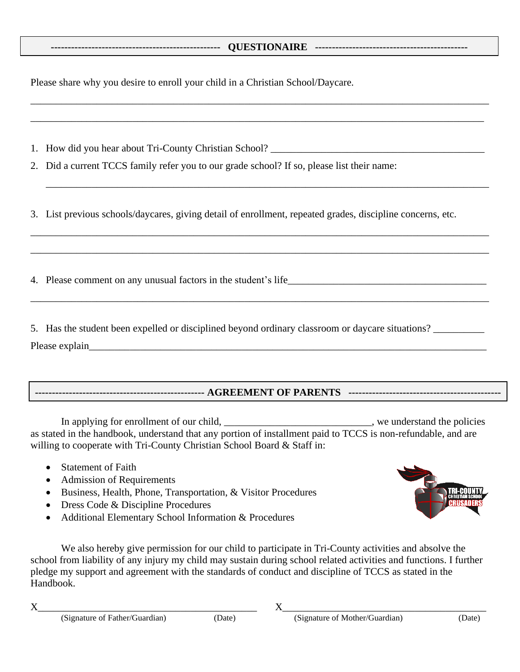#### **-------------------------------------------------- QUESTIONAIRE ---------------------------------------------**

\_\_\_\_\_\_\_\_\_\_\_\_\_\_\_\_\_\_\_\_\_\_\_\_\_\_\_\_\_\_\_\_\_\_\_\_\_\_\_\_\_\_\_\_\_\_\_\_\_\_\_\_\_\_\_\_\_\_\_\_\_\_\_\_\_\_\_\_\_\_\_\_\_\_\_\_\_\_\_\_\_\_\_\_\_\_\_\_\_\_

\_\_\_\_\_\_\_\_\_\_\_\_\_\_\_\_\_\_\_\_\_\_\_\_\_\_\_\_\_\_\_\_\_\_\_\_\_\_\_\_\_\_\_\_\_\_\_\_\_\_\_\_\_\_\_\_\_\_\_\_\_\_\_\_\_\_\_\_\_\_\_\_\_\_\_\_\_\_\_\_\_\_\_\_\_\_\_\_\_

\_\_\_\_\_\_\_\_\_\_\_\_\_\_\_\_\_\_\_\_\_\_\_\_\_\_\_\_\_\_\_\_\_\_\_\_\_\_\_\_\_\_\_\_\_\_\_\_\_\_\_\_\_\_\_\_\_\_\_\_\_\_\_\_\_\_\_\_\_\_\_\_\_\_\_\_\_\_\_\_\_\_\_\_\_\_\_

\_\_\_\_\_\_\_\_\_\_\_\_\_\_\_\_\_\_\_\_\_\_\_\_\_\_\_\_\_\_\_\_\_\_\_\_\_\_\_\_\_\_\_\_\_\_\_\_\_\_\_\_\_\_\_\_\_\_\_\_\_\_\_\_\_\_\_\_\_\_\_\_\_\_\_\_\_\_\_\_\_\_\_\_\_\_\_\_\_\_

\_\_\_\_\_\_\_\_\_\_\_\_\_\_\_\_\_\_\_\_\_\_\_\_\_\_\_\_\_\_\_\_\_\_\_\_\_\_\_\_\_\_\_\_\_\_\_\_\_\_\_\_\_\_\_\_\_\_\_\_\_\_\_\_\_\_\_\_\_\_\_\_\_\_\_\_\_\_\_\_\_\_\_\_\_\_\_\_\_\_

\_\_\_\_\_\_\_\_\_\_\_\_\_\_\_\_\_\_\_\_\_\_\_\_\_\_\_\_\_\_\_\_\_\_\_\_\_\_\_\_\_\_\_\_\_\_\_\_\_\_\_\_\_\_\_\_\_\_\_\_\_\_\_\_\_\_\_\_\_\_\_\_\_\_\_\_\_\_\_\_\_\_\_\_\_\_\_\_\_\_

Please share why you desire to enroll your child in a Christian School/Daycare.

1. How did you hear about Tri-County Christian School? \_\_\_\_\_\_\_\_\_\_\_\_\_\_\_\_\_\_\_\_\_\_\_\_\_

2. Did a current TCCS family refer you to our grade school? If so, please list their name:

3. List previous schools/daycares, giving detail of enrollment, repeated grades, discipline concerns, etc.

4. Please comment on any unusual factors in the student's life\_\_\_\_\_\_\_\_\_\_\_\_\_\_\_\_\_\_\_\_\_\_\_\_\_\_\_\_\_\_\_\_\_\_\_\_\_\_\_

5. Has the student been expelled or disciplined beyond ordinary classroom or daycare situations?

Please explain

#### **-------------------------------------------------- AGREEMENT OF PARENTS ---------------------------------------------**

In applying for enrollment of our child, \_\_\_\_\_\_\_\_\_\_\_\_\_\_\_\_\_\_\_\_\_\_\_\_\_\_\_, we understand the policies as stated in the handbook, understand that any portion of installment paid to TCCS is non-refundable, and are willing to cooperate with Tri-County Christian School Board & Staff in:

- Statement of Faith
- Admission of Requirements
- Business, Health, Phone, Transportation, & Visitor Procedures
- Dress Code & Discipline Procedures
- Additional Elementary School Information & Procedures

We also hereby give permission for our child to participate in Tri-County activities and absolve the school from liability of any injury my child may sustain during school related activities and functions. I further pledge my support and agreement with the standards of conduct and discipline of TCCS as stated in the Handbook.

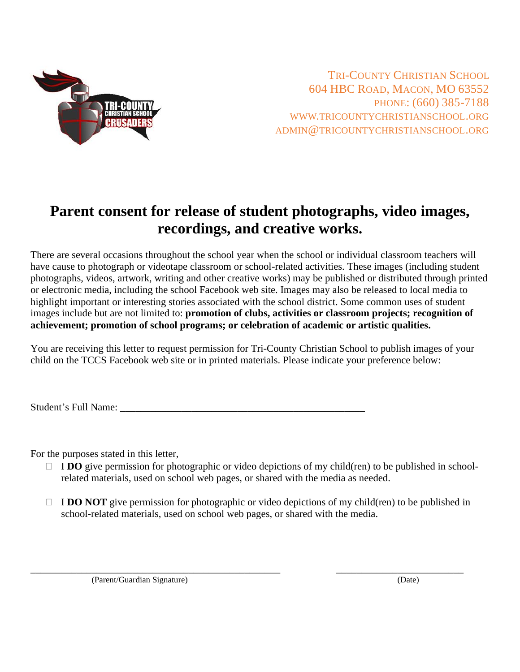

TRI-COUNTY CHRISTIAN SCHOOL 604 HBC ROAD, MACON, MO 63552 PHONE: (660) 385-7188 WWW.TRICOUNTYCHRISTIANSCHOOL.ORG ADMIN@TRICOUNTYCHRISTIANSCHOOL.ORG

# **Parent consent for release of student photographs, video images, recordings, and creative works.**

There are several occasions throughout the school year when the school or individual classroom teachers will have cause to photograph or videotape classroom or school-related activities. These images (including student photographs, videos, artwork, writing and other creative works) may be published or distributed through printed or electronic media, including the school Facebook web site. Images may also be released to local media to highlight important or interesting stories associated with the school district. Some common uses of student images include but are not limited to: **promotion of clubs, activities or classroom projects; recognition of achievement; promotion of school programs; or celebration of academic or artistic qualities.** 

You are receiving this letter to request permission for Tri-County Christian School to publish images of your child on the TCCS Facebook web site or in printed materials. Please indicate your preference below:

Student's Full Name: \_\_\_\_\_\_\_\_\_\_\_\_\_\_\_\_\_\_\_\_\_\_\_\_\_\_\_\_\_\_\_\_\_\_\_\_\_\_\_\_\_\_\_\_\_\_\_\_

For the purposes stated in this letter,

- $\Box$  **IDO** give permission for photographic or video depictions of my child(ren) to be published in schoolrelated materials, used on school web pages, or shared with the media as needed.
- $\Box$  **I DO NOT** give permission for photographic or video depictions of my child(ren) to be published in school-related materials, used on school web pages, or shared with the media.

\_\_\_\_\_\_\_\_\_\_\_\_\_\_\_\_\_\_\_\_\_\_\_\_\_\_\_\_\_\_\_\_\_\_\_\_\_\_\_\_\_\_\_\_\_\_\_\_\_ \_\_\_\_\_\_\_\_\_\_\_\_\_\_\_\_\_\_\_\_\_\_\_\_\_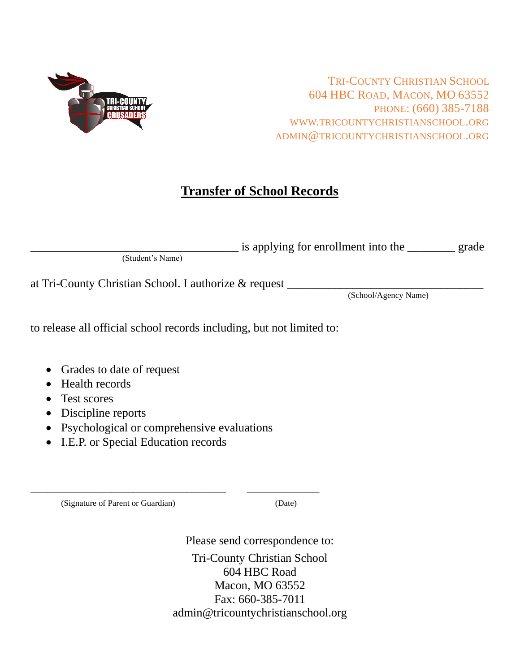

TRI-COUNTY CHRISTIAN SCHOOL 604 HBC ROAD, MACON, MO 63552 PHONE: (660) 385-7188 WWW.TRICOUNTYCHRISTIANSCHOOL.ORG ADMIN@TRICOUNTYCHRISTIANSCHOOL.ORG

# **Transfer of School Records**

|                  | is applying for enrollment into the | grade |
|------------------|-------------------------------------|-------|
| (Student's Name) |                                     |       |

at Tri-County Christian School. I authorize & request

(School/Agency Name)

to release all official school records including, but not limited to:

- Grades to date of request
- Health records
- Test scores
- Discipline reports
- Psychological or comprehensive evaluations

\_\_\_\_\_\_\_\_\_\_\_\_\_\_\_\_\_\_\_\_\_\_\_\_\_\_\_\_\_\_\_\_\_\_\_\_\_\_\_\_\_\_\_\_\_\_ \_\_\_\_\_\_\_\_\_\_\_\_\_\_\_\_\_

• I.E.P. or Special Education records

(Signature of Parent or Guardian) (Date)

Please send correspondence to: Tri-County Christian School 604 HBC Road Macon, MO 63552 Fax: 660-385-7011 admin@tricountychristianschool.org